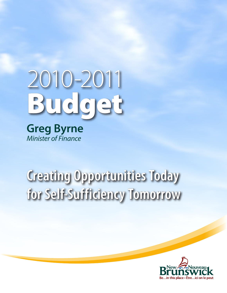

**Greg Byrne** *Minister of Finance*

# **Creating Opportunities Today for Self-Sufficiency Tomorrow**

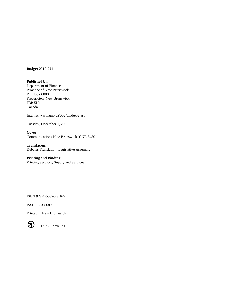#### **Budget 2010-2011**

**Published by:**  Department of Finance Province of New Brunswick P.O. Box 6000 Fredericton, New Brunswick E3B 5H1 Canada

Internet: [www.gnb.ca/0024/index-e.asp](http://www.gnb.ca/0024/index-e.asp)

Tuesday, December 1, 2009

**Cover:**  Communications New Brunswick (CNB 6480)

**Translation:**  Debates Translation, Legislative Assembly

## **Printing and Binding:**

Printing Services, Supply and Services

ISBN 978-1-55396-316-5

ISSN 0833-5680

Printed in New Brunswick



Think Recycling!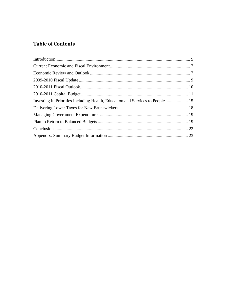# **Table of Contents**

| Investing in Priorities Including Health, Education and Services to People  15 |  |
|--------------------------------------------------------------------------------|--|
|                                                                                |  |
|                                                                                |  |
|                                                                                |  |
|                                                                                |  |
|                                                                                |  |
|                                                                                |  |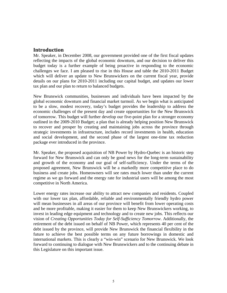# **Introduction**

Mr. Speaker, in December 2008, our government provided one of the first fiscal updates reflecting the impacts of the global economic downturn, and our decision to deliver this budget today is a further example of being proactive in responding to the economic challenges we face. I am pleased to rise in this House and table the 2010-2011 Budget which will deliver an update to New Brunswickers on the current fiscal year, provide details on our plans for 2010-2011 including our capital budget, and updates our lower tax plan and our plan to return to balanced budgets.

New Brunswick communities, businesses and individuals have been impacted by the global economic downturn and financial market turmoil. As we begin what is anticipated to be a slow, modest recovery, today's budget provides the leadership to address the economic challenges of the present day and create opportunities for the New Brunswick of tomorrow. This budget will further develop our five-point plan for a stronger economy outlined in the 2009-2010 Budget; a plan that is already helping position New Brunswick to recover and prosper by creating and maintaining jobs across the province through strategic investments in infrastructure, includes record investments in health, education and social development, and the second phase of the largest one-time tax reduction package ever introduced in the province.

Mr. Speaker, the proposed acquisition of NB Power by Hydro-Quebec is an historic step forward for New Brunswick and can only be good news for the long-term sustainability and growth of the economy and our goal of self-sufficiency. Under the terms of the proposed agreement, New Brunswick will be a markedly more competitive place to do business and create jobs. Homeowners will see rates much lower than under the current regime as we go forward and the energy rate for industrial users will be among the most competitive in North America.

Lower energy rates increase our ability to attract new companies and residents. Coupled with our lower tax plan, affordable, reliable and environmentally friendly hydro power will mean businesses in all areas of our province will benefit from lower operating costs and be more profitable, making it easier for them to keep New Brunswickers working, to invest in leading edge equipment and technology and to create new jobs. This reflects our vision of *Creating Opportunities Today for Self-Sufficiency Tomorrow*. Additionally, the retirement of the debt issued on behalf of NB Power, which represents 40 per cent of the debt issued by the province, will provide New Brunswick the financial flexibility in the future to achieve the best possible terms on any future borrowings in domestic and international markets. This is clearly a "win-win" scenario for New Brunswick. We look forward to continuing to dialogue with New Brunswickers and to the continuing debate in this Legislature on this important issue.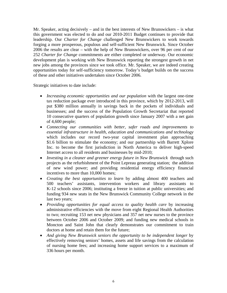Mr. Speaker, acting decisively – and in the best interests of New Brunswickers – is what this government was elected to do and our 2010-2011 Budget continues to provide that leadership. Our *Charter for Change* challenged New Brunswickers to work towards forging a more prosperous, populous and self-sufficient New Brunswick. Since October 2006 the results are clear – with the help of New Brunswickers, over 96 per cent of our 252 *Charter for Change* commitments are either completed or underway. Our economic development plan is working with New Brunswick reporting the strongest growth in net new jobs among the provinces since we took office. Mr. Speaker, we are indeed creating opportunities today for self-sufficiency tomorrow. Today's budget builds on the success of these and other initiatives undertaken since October 2006.

Strategic initiatives to date include:

- *Increasing economic opportunities and our population* with the largest one-time tax reduction package ever introduced in this province, which by 2012-2013, will put \$380 million annually in savings back in the pockets of individuals and businesses; and the success of the Population Growth Secretariat that reported 10 consecutive quarters of population growth since January 2007 with a net gain of 4,600 people;
- *Connecting our communities with better, safer roads and improvements to essential infrastructure in health, education and communications and technology*  which includes our record two-year capital investment plan approaching \$1.6 billion to stimulate the economy; and our partnership with Barrett Xplore Inc. to become the first jurisdiction in North America to deliver high-speed Internet access to all residents and businesses by mid-2010;
- *Investing in a cleaner and greener energy future in New Brunswick* through such projects as the refurbishment of the Point Lepreau generating station; the addition of new wind power; and providing residential energy efficiency financial incentives to more than 10,000 homes;
- *Creating the best opportunities to learn* by adding almost 400 teachers and 500 teachers' assistants, intervention workers and library assistants to K-12 schools since 2006; instituting a freeze in tuition at public universities; and funding 934 new seats in the New Brunswick Community College network in the last two years;
- *Providing opportunities for equal access to quality health care* by increasing administrative efficiencies with the move from eight Regional Health Authorities to two; recruiting 153 net new physicians and 357 net new nurses to the province between October 2006 and October 2009; and funding new medical schools in Moncton and Saint John that clearly demonstrates our commitment to train doctors at home and retain them for the future;
- And giving New Brunswick seniors the opportunity to be independent longer by effectively removing seniors' homes, assets and life savings from the calculation of nursing home fees; and increasing home support services to a maximum of 336 hours per month.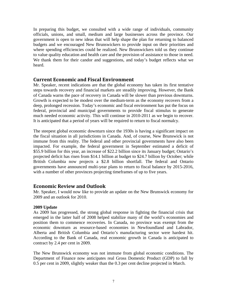In preparing this budget, we consulted with a wide range of individuals, community officials, unions, and small, medium and large businesses across the province. Our government is open to new ideas that will help shape the plan for returning to balanced budgets and we encouraged New Brunswickers to provide input on their priorities and where spending efficiencies could be realized. New Brunswickers told us they continue to value quality education and health care and the provision of assistance to those in need. We thank them for their candor and suggestions, and today's budget reflects what we heard.

# **Current Economic and Fiscal Environment**

Mr. Speaker, recent indications are that the global economy has taken its first tentative steps towards recovery and financial markets are steadily improving. However, the Bank of Canada warns the pace of recovery in Canada will be slower than previous downturns. Growth is expected to be modest over the medium-term as the economy recovers from a deep, prolonged recession. Today's economic and fiscal environment has put the focus on federal, provincial and municipal governments to provide fiscal stimulus to generate much needed economic activity. This will continue in 2010-2011 as we begin to recover. It is anticipated that a period of years will be required to return to fiscal normalcy.

The steepest global economic downturn since the 1930s is having a significant impact on the fiscal situation in all jurisdictions in Canada. And, of course, New Brunswick is not immune from this reality. The federal and other provincial governments have also been impacted. For example, the federal government in September estimated a deficit of \$55.9 billion for this year, an increase of \$22.2 billion since its January budget; Ontario's projected deficit has risen from \$14.1 billion at budget to \$24.7 billion by October; while British Columbia now projects a \$2.8 billion shortfall. The federal and Ontario governments have announced multi-year plans to return to fiscal balance by 2015-2016, with a number of other provinces projecting timeframes of up to five years.

# **Economic Review and Outlook**

Mr. Speaker, I would now like to provide an update on the New Brunswick economy for 2009 and an outlook for 2010.

## **2009 Update**

As 2009 has progressed, the strong global response in fighting the financial crisis that emerged in the latter half of 2008 helped stabilize many of the world's economies and position them to commence recoveries. In Canada, no province was exempt from the economic downturn as resource-based economies in Newfoundland and Labrador, Alberta and British Columbia and Ontario's manufacturing sector were hardest hit. According to the Bank of Canada, real economic growth in Canada is anticipated to contract by 2.4 per cent in 2009.

The New Brunswick economy was not immune from global economic conditions. The Department of Finance now anticipates real Gross Domestic Product (GDP) to fall by 0.5 per cent in 2009, slightly weaker than the 0.3 per cent decline projected in March.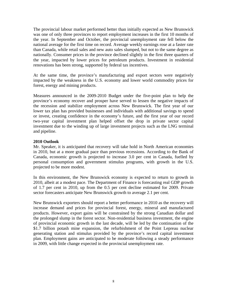The provincial labour market performed better than initially expected as New Brunswick was one of only three provinces to report employment increases in the first 10 months of the year. In September and October, the provincial unemployment rate fell below the national average for the first time on record. Average weekly earnings rose at a faster rate than Canada, while retail sales and new auto sales slumped, but not to the same degree as nationally. Consumer prices in the province declined slightly in the first three quarters of the year, impacted by lower prices for petroleum products. Investment in residential renovations has been strong, supported by federal tax incentives.

At the same time, the province's manufacturing and export sectors were negatively impacted by the weakness in the U.S. economy and lower world commodity prices for forest, energy and mining products.

Measures announced in the 2009-2010 Budget under the five-point plan to help the province's economy recover and prosper have served to lessen the negative impacts of the recession and stabilize employment across New Brunswick. The first year of our lower tax plan has provided businesses and individuals with additional savings to spend or invest, creating confidence in the economy's future, and the first year of our record two-year capital investment plan helped offset the drop in private sector capital investment due to the winding up of large investment projects such as the LNG terminal and pipeline.

## **2010 Outlook**

Mr. Speaker, it is anticipated that recovery will take hold in North American economies in 2010, but at a more gradual pace than previous recessions. According to the Bank of Canada, economic growth is projected to increase 3.0 per cent in Canada, fuelled by personal consumption and government stimulus programs, with growth in the U.S. projected to be more modest.

In this environment, the New Brunswick economy is expected to return to growth in 2010, albeit at a modest pace. The Department of Finance is forecasting real GDP growth of 1.7 per cent in 2010, up from the 0.5 per cent decline estimated for 2009. Private sector forecasters anticipate New Brunswick growth to average 2.1 per cent.

New Brunswick exporters should report a better performance in 2010 as the recovery will increase demand and prices for provincial forest, energy, mineral and manufactured products. However, export gains will be constrained by the strong Canadian dollar and the prolonged slump in the forest sector. Non-residential business investment, the engine of provincial economic growth in the last decade, will be led by the continuation of the \$1.7 billion potash mine expansion, the refurbishment of the Point Lepreau nuclear generating station and stimulus provided by the province's record capital investment plan. Employment gains are anticipated to be moderate following a steady performance in 2009, with little change expected in the provincial unemployment rate.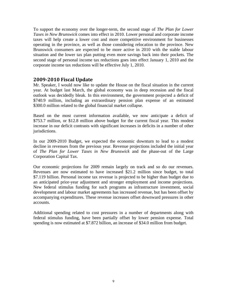To support the economy over the longer-term, the second stage of *The Plan for Lower Taxes in New Brunswick* comes into effect in 2010. Lower personal and corporate income taxes will help create a lower cost and more competitive environment for businesses operating in the province, as well as those considering relocation to the province. New Brunswick consumers are expected to be more active in 2010 with the stable labour situation and the lower tax plan putting even more savings back into their pockets. The second stage of personal income tax reductions goes into effect January 1, 2010 and the corporate income tax reductions will be effective July 1, 2010.

# **20092010 Fiscal Update**

Mr. Speaker, I would now like to update the House on the fiscal situation in the current year. At budget last March, the global economy was in deep recession and the fiscal outlook was decidedly bleak. In this environment, the government projected a deficit of \$740.9 million, including an extraordinary pension plan expense of an estimated \$300.0 million related to the global financial market collapse.

Based on the most current information available, we now anticipate a deficit of \$753.7 million, or \$12.8 million above budget for the current fiscal year. This modest increase in our deficit contrasts with significant increases in deficits in a number of other jurisdictions.

In our 2009-2010 Budget, we expected the economic downturn to lead to a modest decline in revenues from the previous year. Revenue projections included the initial year of *The Plan for Lower Taxes in New Brunswick* and the phase-out of the Large Corporation Capital Tax.

Our economic projections for 2009 remain largely on track and so do our revenues. Revenues are now estimated to have increased \$21.2 million since budget, to total \$7.119 billion. Personal income tax revenue is projected to be higher than budget due to an anticipated prior-year adjustment and stronger employment and income projections. New federal stimulus funding for such programs as infrastructure investment, social development and labour market agreements has increased revenue, but has been offset by accompanying expenditures. These revenue increases offset downward pressures in other accounts.

Additional spending related to cost pressures in a number of departments along with federal stimulus funding, have been partially offset by lower pension expense. Total spending is now estimated at \$7.872 billion, an increase of \$34.0 million from budget.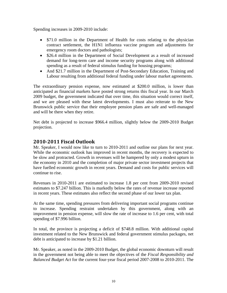Spending increases in 2009-2010 include:

- \$71.0 million in the Department of Health for costs relating to the physician contract settlement, the H1N1 influenza vaccine program and adjustments for emergency room doctors and pathologists;
- \$26.4 million in the Department of Social Development as a result of increased demand for long-term care and income security programs along with additional spending as a result of federal stimulus funding for housing programs;
- And \$21.7 million in the Department of Post-Secondary Education, Training and Labour resulting from additional federal funding under labour market agreements.

The extraordinary pension expense, now estimated at \$200.0 million, is lower than anticipated as financial markets have posted strong returns this fiscal year. In our March 2009 budget, the government indicated that over time, this situation would correct itself, and we are pleased with these latest developments. I must also reiterate to the New Brunswick public service that their employee pension plans are safe and well-managed and will be there when they retire.

Net debt is projected to increase \$966.4 million, slightly below the 2009-2010 Budget projection.

# **20102011 Fiscal Outlook**

Mr. Speaker, I would now like to turn to 2010-2011 and outline our plans for next year. While the economic outlook has improved in recent months, the recovery is expected to be slow and protracted. Growth in revenues will be hampered by only a modest upturn in the economy in 2010 and the completion of major private sector investment projects that have fuelled economic growth in recent years. Demand and costs for public services will continue to rise.

Revenues in 2010-2011 are estimated to increase 1.8 per cent from 2009-2010 revised estimates to \$7.247 billion. This is markedly below the rates of revenue increase reported in recent years. These estimates also reflect the second phase of our lower tax plan.

At the same time, spending pressures from delivering important social programs continue to increase. Spending restraint undertaken by this government, along with an improvement in pension expense, will slow the rate of increase to 1.6 per cent, with total spending of \$7.996 billion.

In total, the province is projecting a deficit of \$748.8 million. With additional capital investment related to the New Brunswick and federal government stimulus packages, net debt is anticipated to increase by \$1.21 billion.

Mr. Speaker, as noted in the 2009-2010 Budget, the global economic downturn will result in the government not being able to meet the objectives of the *Fiscal Responsibility and Balanced Budget Act* for the current four-year fiscal period 2007-2008 to 2010-2011. The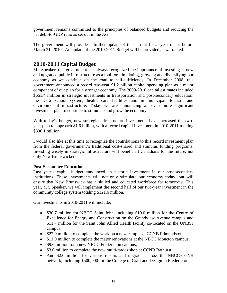government remains committed to the principles of balanced budgets and reducing the net debt-to-GDP ratio as set out in the Act.

The government will provide a further update of the current fiscal year on or before March 31, 2010. An update of the 2010-2011 Budget will be provided as warranted.

# **20102011 Capital Budget**

Mr. Speaker, this government has always recognized the importance of investing in new and upgraded public infrastructure as a tool for stimulating, growing and diversifying our economy as we continue on the road to self-sufficiency. In December 2008, this government announced a record two-year \$1.2 billion capital spending plan as a major component of our plan for a stronger economy. The 2009-2010 capital estimates included \$661.4 million in strategic investments in transportation and post-secondary education, the K-12 school system, health care facilities and in municipal, tourism and environmental infrastructure. Today we are announcing an even more significant investment plan to continue to stimulate and grow the economy.

With today's budget, new strategic infrastructure investments have increased the twoyear plan to approach \$1.6 billion, with a record capital investment in 2010-2011 totaling \$896.1 million.

I would also like at this time to recognize the contributions to this record investment plan from the federal government's traditional cost-shared and stimulus funding programs. Investing wisely in strategic infrastructure will benefit all Canadians for the future, not only New Brunswickers.

# **Post-Secondary Education**

Last year's capital budget announced an historic investment in our post-secondary institutions. These investments will not only stimulate our economy today, but will ensure that New Brunswick has a skilled and educated workforce for tomorrow. This year, Mr. Speaker, we will implement the second half of our two-year investment in the community college system totaling \$121.6 million.

Our investments in 2010-2011 will include:

- \$30.7 million for NBCC Saint John, including \$19.0 million for the Centre of Excellence for Energy and Construction on the Grandview Avenue campus and \$11.7 million for the Saint John Allied Health facility co-located on the UNBSJ campus;
- \$22.0 million to complete the work on a new campus at CCNB Edmundston;
- \$11.0 million to complete the major renovations at the NBCC Moncton campus;
- \$9.6 million for a new NBCC Fredericton campus;
- \$3.0 million to complete the new multi-trades shop at CCNB Bathurst;
- And \$2.0 million for various repairs and upgrades across the NBCC-CCNB network, including \$500,000 for the College of Craft and Design in Fredericton.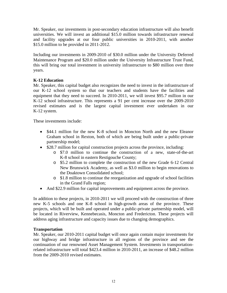Mr. Speaker, our investments in post-secondary education infrastructure will also benefit universities. We will invest an additional \$15.0 million towards infrastructure renewal and facility upgrades at our four public universities in 2010-2011, with another \$15.0 million to be provided in 2011-2012.

Including our investments in 2009-2010 of \$30.0 million under the University Deferred Maintenance Program and \$20.0 million under the University Infrastructure Trust Fund, this will bring our total investment in university infrastructure to \$80 million over three years.

# **K-12 Education**

Mr. Speaker, this capital budget also recognizes the need to invest in the infrastructure of our K-12 school system so that our teachers and students have the facilities and equipment that they need to succeed. In 2010-2011, we will invest \$95.7 million in our K-12 school infrastructure. This represents a 91 per cent increase over the 2009-2010 revised estimates and is the largest capital investment ever undertaken in our K-12 system.

These investments include:

- \$44.1 million for the new K-8 school in Moncton North and the new Eleanor Graham school in Rexton, both of which are being built under a public-private partnership model;
- \$28.7 million for capital construction projects across the province, including:
	- o \$7.0 million to continue the construction of a new, state-of-the-art K-8 school in eastern Restigouche County;
	- o \$5.2 million to complete the construction of the new Grade 6-12 Central New Brunswick Academy, as well as \$3.0 million to begin renovations to the Doaktown Consolidated school;
	- o \$1.8 million to continue the reorganization and upgrade of school facilities in the Grand Falls region;
- And \$22.9 million for capital improvements and equipment across the province.

In addition to these projects, in 2010-2011 we will proceed with the construction of three new K-5 schools and one K-8 school in high-growth areas of the province. These projects, which will be built and operated under a public-private partnership model, will be located in Riverview, Kennebecasis, Moncton and Fredericton. These projects will address aging infrastructure and capacity issues due to changing demographics.

# **Transportation**

Mr. Speaker, our 2010-2011 capital budget will once again contain major investments for our highway and bridge infrastructure in all regions of the province and see the continuation of our renowned Asset Management System. Investments in transportationrelated infrastructure will total \$423.4 million in 2010-2011, an increase of \$48.2 million from the 2009-2010 revised estimates.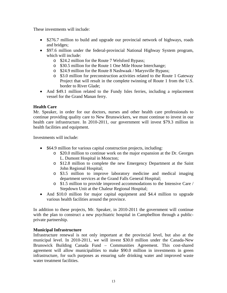These investments will include:

- \$276.7 million to build and upgrade our provincial network of highways, roads and bridges;
- \$97.6 million under the federal-provincial National Highway System program, which will include:
	- o \$24.2 million for the Route 7 Welsford Bypass;
	- o \$30.5 million for the Route 1 One Mile House Interchange;
	- o \$24.9 million for the Route 8 Nashwaak / Marysville Bypass;
	- o \$3.0 million for preconstruction activities related to the Route 1 Gateway Project that will result in the complete twinning of Route 1 from the U.S. border to River Glade;
- And \$49.1 million related to the Fundy Isles ferries, including a replacement vessel for the Grand Manan ferry.

# **Health Care**

Mr. Speaker, in order for our doctors, nurses and other health care professionals to continue providing quality care to New Brunswickers, we must continue to invest in our health care infrastructure. In 2010-2011, our government will invest \$79.3 million in health facilities and equipment.

Investments will include:

- \$64.9 million for various capital construction projects, including:
	- o \$20.0 million to continue work on the major expansion at the Dr. Georges L. Dumont Hospital in Moncton;
	- o \$12.8 million to complete the new Emergency Department at the Saint John Regional Hospital;
	- o \$3.5 million to improve laboratory medicine and medical imaging department services at the Grand Falls General Hospital;
	- o \$1.5 million to provide improved accommodations to the Intensive Care / Stepdown Unit at the Chaleur Regional Hospital;
- And \$10.0 million for major capital equipment and \$4.4 million to upgrade various health facilities around the province.

In addition to these projects, Mr. Speaker, in 2010-2011 the government will continue with the plan to construct a new psychiatric hospital in Campbellton through a publicprivate partnership.

# **Municipal Infrastructure**

Infrastructure renewal is not only important at the provincial level, but also at the municipal level. In 2010-2011, we will invest \$30.0 million under the Canada-New Brunswick Building Canada Fund – Communities Agreement. This cost-shared agreement will allow municipalities to make \$90.0 million in investments in green infrastructure, for such purposes as ensuring safe drinking water and improved waste water treatment facilities.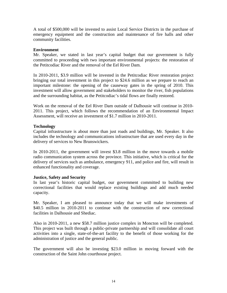A total of \$500,000 will be invested to assist Local Service Districts in the purchase of emergency equipment and the construction and maintenance of fire halls and other community facilities.

## **Environment**

Mr. Speaker, we stated in last year's capital budget that our government is fully committed to proceeding with two important environmental projects: the restoration of the Petitcodiac River and the removal of the Eel River Dam.

In 2010-2011, \$3.9 million will be invested in the Petitcodiac River restoration project bringing our total investment in this project to \$24.6 million as we prepare to reach an important milestone: the opening of the causeway gates in the spring of 2010. This investment will allow government and stakeholders to monitor the river, fish populations and the surrounding habitat, as the Petitcodiac's tidal flows are finally restored.

Work on the removal of the Eel River Dam outside of Dalhousie will continue in 2010- 2011. This project, which follows the recommendation of an Environmental Impact Assessment, will receive an investment of \$1.7 million in 2010-2011.

## **Technology**

Capital infrastructure is about more than just roads and buildings, Mr. Speaker. It also includes the technology and communications infrastructure that are used every day in the delivery of services to New Brunswickers.

In 2010-2011, the government will invest \$3.8 million in the move towards a mobile radio communication system across the province. This initiative, which is critical for the delivery of services such as ambulance, emergency 911, and police and fire, will result in enhanced functionality and coverage.

## **Justice, Safety and Security**

In last year's historic capital budget, our government committed to building new correctional facilities that would replace existing buildings and add much needed capacity.

Mr. Speaker, I am pleased to announce today that we will make investments of \$40.5 million in 2010-2011 to continue with the construction of new correctional facilities in Dalhousie and Shediac.

Also in 2010-2011, a new \$58.7 million justice complex in Moncton will be completed. This project was built through a public-private partnership and will consolidate all court activities into a single, state-of-the-art facility to the benefit of those working for the administration of justice and the general public.

The government will also be investing \$23.0 million in moving forward with the construction of the Saint John courthouse project.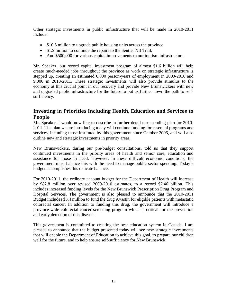Other strategic investments in public infrastructure that will be made in 2010-2011 include:

- \$10.6 million to upgrade public housing units across the province;
- \$1.9 million to continue the repairs to the Sentier NB Trail;
- And \$500,000 for various capital improvements to our tourism infrastructure.

Mr. Speaker, our record capital investment program of almost \$1.6 billion will help create much-needed jobs throughout the province as work on strategic infrastructure is stepped up, creating an estimated 6,000 person-years of employment in 2009-2010 and 9,000 in 2010-2011. These strategic investments will also provide stimulus to the economy at this crucial point in our recovery and provide New Brunswickers with new and upgraded public infrastructure for the future to put us further down the path to selfsufficiency.

# **Investing in Priorities Including Health, Education and Services to People**

Mr. Speaker, I would now like to describe in further detail our spending plan for 2010- 2011. The plan we are introducing today will continue funding for essential programs and services, including those instituted by this government since October 2006, and will also outline new and strategic investments in priority areas.

New Brunswickers, during our pre-budget consultations, told us that they support continued investments in the priority areas of health and senior care, education and assistance for those in need. However, in these difficult economic conditions, the government must balance this with the need to manage public sector spending. Today's budget accomplishes this delicate balance.

For 2010-2011, the ordinary account budget for the Department of Health will increase by \$82.8 million over revised 2009-2010 estimates, to a record \$2.46 billion. This includes increased funding levels for the New Brunswick Prescription Drug Program and Hospital Services. The government is also pleased to announce that the 2010-2011 Budget includes \$3.4 million to fund the drug Avastin for eligible patients with metastatic colorectal cancer. In addition to funding this drug, the government will introduce a province-wide colorectal-cancer screening program which is critical for the prevention and early detection of this disease.

This government is committed to creating the best education system in Canada. I am pleased to announce that the budget presented today will see new strategic investments that will enable the Department of Education to achieve this goal, to prepare our children well for the future, and to help ensure self-sufficiency for New Brunswick.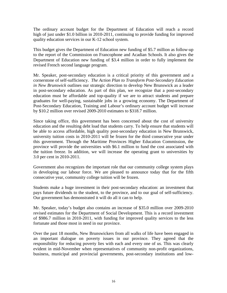The ordinary account budget for the Department of Education will reach a record high of just under \$1.0 billion in 2010-2011, continuing to provide funding for improved quality education services in our K-12 school system.

This budget gives the Department of Education new funding of \$5.7 million as follow-up to the report of the Commission on Francophone and Acadian Schools. It also gives the Department of Education new funding of \$3.4 million in order to fully implement the revised French second language program.

Mr. Speaker, post-secondary education is a critical priority of this government and a cornerstone of self-sufficiency. *The Action Plan to Transform Post-Secondary Education in New Brunswick* outlines our strategic direction to develop New Brunswick as a leader in post-secondary education. As part of this plan, we recognize that a post-secondary education must be affordable and top-quality if we are to attract students and prepare graduates for well-paying, sustainable jobs in a growing economy. The Department of Post-Secondary Education, Training and Labour's ordinary account budget will increase by \$10.2 million over revised 2009-2010 estimates to \$318.7 million.

Since taking office, this government has been concerned about the cost of university education and the resulting debt load that students carry. To help ensure that students will be able to access affordable, high quality post-secondary education in New Brunswick, university tuition costs in 2010-2011 will be frozen for the third consecutive year under this government. Through the Maritime Provinces Higher Education Commission, the province will provide the universities with \$6.1 million to fund the cost associated with the tuition freeze. In addition, we will increase the operating grant to universities by 3.0 per cent in 2010-2011.

Government also recognizes the important role that our community college system plays in developing our labour force. We are pleased to announce today that for the fifth consecutive year, community college tuition will be frozen.

Students make a huge investment in their post-secondary education: an investment that pays future dividends to the student, to the province, and to our goal of self-sufficiency. Our government has demonstrated it will do all it can to help.

Mr. Speaker, today's budget also contains an increase of \$35.0 million over 2009-2010 revised estimates for the Department of Social Development. This is a record investment of \$986.7 million in 2010-2011, with funding for improved quality services to the less fortunate and those most in need in our province.

Over the past 18 months, New Brunswickers from all walks of life have been engaged in an important dialogue on poverty issues in our province. They agreed that the responsibility for reducing poverty lies with each and every one of us. This was clearly evident in mid-November when representatives of community non-profit organizations, business, municipal and provincial governments, post-secondary institutions and low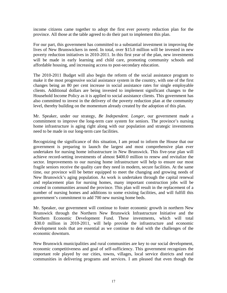income citizens came together to adopt the first ever poverty reduction plan for the province. All those at the table agreed to do their part to implement this plan.

For our part, this government has committed to a substantial investment in improving the lives of New Brunswickers in need. In total, over \$15.0 million will be invested in new poverty reduction initiatives in 2010-2011. In this first year of the plan, new investments will be made in early learning and child care, promoting community schools and affordable housing, and increasing access to post-secondary education.

The 2010-2011 Budget will also begin the reform of the social assistance program to make it the most progressive social assistance system in the country, with one of the first changes being an 80 per cent increase in social assistance rates for single employable clients. Additional dollars are being invested to implement significant changes to the Household Income Policy as it is applied to social assistance clients. This government has also committed to invest in the delivery of the poverty reduction plan at the community level, thereby building on the momentum already created by the adoption of this plan.

Mr. Speaker, under our strategy, *Be Independent. Longer*, our government made a commitment to improve the long-term care system for seniors. The province's nursing home infrastructure is aging right along with our population and strategic investments need to be made in our long-term care facilities.

Recognizing the significance of this situation, I am proud to inform the House that our government is preparing to launch the largest and most comprehensive plan ever undertaken for nursing home infrastructure in New Brunswick. This five-year plan will achieve record-setting investments of almost \$400.0 million to renew and revitalize the sector. Improvements to our nursing home infrastructure will help to ensure our most fragile seniors receive the quality care they need in modern, secure facilities. At the same time, our province will be better equipped to meet the changing and growing needs of New Brunswick's aging population. As work is undertaken through the capital renewal and replacement plan for nursing homes, many important construction jobs will be created in communities around the province. This plan will result in the replacement of a number of nursing homes and additions to some existing facilities, and will fulfill this government's commitment to add 700 new nursing home beds.

Mr. Speaker, our government will continue to foster economic growth in northern New Brunswick through the Northern New Brunswick Infrastructure Initiative and the Northern Economic Development Fund. These investments, which will total \$30.0 million in 2010-2011, will help provide the infrastructure and economic development tools that are essential as we continue to deal with the challenges of the economic downturn.

New Brunswick municipalities and rural communities are key to our social development, economic competitiveness and goal of self-sufficiency. This government recognizes the important role played by our cities, towns, villages, local service districts and rural communities in delivering programs and services. I am pleased that even though the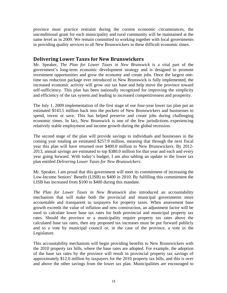province must practice restraint during the current economic circumstances, the unconditional grant for each municipality and rural community will be maintained at the same level as in 2009. We remain committed to working together with local governments in providing quality services to all New Brunswickers in these difficult economic times.

# **Delivering Lower Taxes for New Brunswickers**

Mr. Speaker, *The Plan for Lower Taxes in New Brunswick* is a vital part of the government's long-term economic development strategy and is designed to promote investment opportunities and grow the economy and create jobs. Once the largest onetime tax reduction package ever introduced in New Brunswick is fully implemented, the increased economic activity will grow our tax base and help move the province toward self-sufficiency. This plan has been nationally recognized for improving the simplicity and efficiency of the tax system and leading to increased competitiveness and prosperity.

The July 1, 2009 implementation of the first stage of our four-year lower tax plan put an estimated \$143.5 million back into the pockets of New Brunswickers and businesses to spend, invest or save. This has helped preserve and create jobs during challenging economic times. In fact, New Brunswick is one of the few jurisdictions experiencing relatively stable employment and income growth during the global recession.

The second stage of the plan will provide savings to individuals and businesses in the coming year totaling an estimated \$257.9 million, meaning that through the next fiscal year this plan will have returned over \$400.0 million to New Brunswickers. By 2012- 2013, annual savings are estimated to top \$380.0 million for that year and each and every year going forward. With today's budget, I am also tabling an update to the lower tax plan entitled *Delivering Lower Taxes for New Brunswickers*.

Mr. Speaker, I am proud that this government will meet its commitment of increasing the Low-Income Seniors' Benefit (LISB) to \$400 in 2010. By fulfilling this commitment the LISB has increased from \$100 to \$400 during this mandate.

*The Plan for Lower Taxes in New Brunswick* also introduced an accountability mechanism that will make both the provincial and municipal governments more accountable and transparent to taxpayers for property taxes. When assessment base growth exceeds the value of inflation and new construction, an adjustment factor will be used to calculate lower base tax rates for both provincial and municipal property tax rates. Should the province or a municipality require property tax rates above the calculated base tax rates, then any proposed tax increases must be put forward publicly and to a vote by municipal council or, in the case of the province, a vote in the Legislature.

This accountability mechanism will begin providing benefits to New Brunswickers with the 2010 property tax bills, where the base rates are adopted. For example, the adoption of the base tax rates by the province will result in provincial property tax savings of approximately \$12.0 million by taxpayers for the 2010 property tax bills, and this is over and above the other savings from the lower tax plan. Municipalities are encouraged to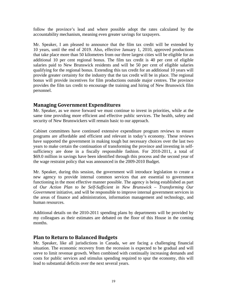follow the province's lead and where possible adopt the rates calculated by the accountability mechanism, meaning even greater savings for taxpayers.

Mr. Speaker, I am pleased to announce that the film tax credit will be extended by 10 years, until the end of 2019. Also, effective January 1, 2010, approved productions that take place more than 50 kilometres from our three largest cities will be eligible for an additional 10 per cent regional bonus. The film tax credit is 40 per cent of eligible salaries paid to New Brunswick residents and will be 50 per cent of eligible salaries qualifying for the regional bonus. Extending this tax credit for an additional 10 years will provide greater certainty for the industry that the tax credit will be in place. The regional bonus will provide incentives for film productions outside major centres. The province provides the film tax credit to encourage the training and hiring of New Brunswick film personnel.

# **Managing Government Expenditures**

Mr. Speaker, as we move forward we must continue to invest in priorities, while at the same time providing more efficient and effective public services. The health, safety and security of New Brunswickers will remain basic to our approach.

Cabinet committees have continued extensive expenditure program reviews to ensure programs are affordable and efficient and relevant in today's economy. These reviews have supported the government in making tough but necessary choices over the last two years to make certain the continuation of transforming the province and investing in selfsufficiency are done in a fiscally responsible fashion. For 2010-2011, a total of \$69.0 million in savings have been identified through this process and the second year of the wage restraint policy that was announced in the 2009-2010 Budget.

Mr. Speaker, during this session, the government will introduce legislation to create a new agency to provide internal common services that are essential to government functioning in the most effective manner possible. The agency is being established as part of *Our Action Plan to be Self-Sufficient in New Brunswick – Transforming Our Government* initiative, and will be responsible to improve internal government services in the areas of finance and administration, information management and technology, and human resources.

Additional details on the 2010-2011 spending plans by departments will be provided by my colleagues as their estimates are debated on the floor of this House in the coming months.

# **Plan to Return to Balanced Budgets**

Mr. Speaker, like all jurisdictions in Canada, we are facing a challenging financial situation. The economic recovery from the recession is expected to be gradual and will serve to limit revenue growth. When combined with continually increasing demands and costs for public services and stimulus spending required to spur the economy, this will lead to substantial deficits over the next several years.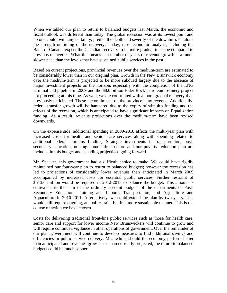When we tabled our plan to return to balanced budgets last March, the economic and fiscal outlook was different than today. The global recession was at its lowest point and no one could, with any certainty, predict the depth and severity of the downturn, let alone the strength or timing of the recovery. Today, most economic analysts, including the Bank of Canada, expect the Canadian recovery to be more gradual in scope compared to previous recoveries. What this means is a number of years of revenue growth at a much slower pace than the levels that have sustained public services in the past.

Based on current projections, provincial revenues over the medium-term are estimated to be considerably lower than in our original plan. Growth in the New Brunswick economy over the medium-term is projected to be more subdued largely due to the absence of major investment projects on the horizon, especially with the completion of the LNG terminal and pipeline in 2009 and the \$8.0 billion Eider Rock petroleum refinery project not proceeding at this time. As well, we are confronted with a more gradual recovery than previously anticipated. These factors impact on the province's tax revenue. Additionally, federal transfer growth will be hampered due to the expiry of stimulus funding and the effects of the recession, which is anticipated to have significant impacts on Equalization funding. As a result, revenue projections over the medium-term have been revised downwards.

On the expense side, additional spending in 2009-2010 affects the multi-year plan with increased costs for health and senior care services along with spending related to additional federal stimulus funding. Strategic investments in transportation, postsecondary education, nursing home infrastructure and our poverty reduction plan are included in this budget and spending projections going forward.

Mr. Speaker, this government had a difficult choice to make. We could have rigidly maintained our four-year plan to return to balanced budgets; however the recession has led to projections of considerably lower revenues than anticipated in March 2009 accompanied by increased costs for essential public services. Further restraint of \$513.0 million would be required in 2012-2013 to balance the budget. This amount is equivalent to the sum of the ordinary account budgets of the departments of Post-Secondary Education, Training and Labour, Transportation, and Agriculture and Aquaculture in 2010-2011. Alternatively, we could extend the plan by two years. This would still require ongoing, annual restraint but in a more sustainable manner. This is the course of action we have chosen.

Costs for delivering traditional front-line public services such as those for health care, senior care and support for lower income New Brunswickers will continue to grow and will require continued vigilance in other operations of government. Over the remainder of our plan, government will continue to develop measures to find additional savings and efficiencies in public service delivery. Meanwhile, should the economy perform better than anticipated and revenues grow faster than currently projected, the return to balanced budgets could be much sooner.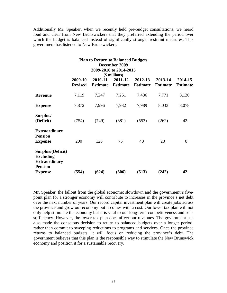Additionally Mr. Speaker, when we recently held pre-budget consultations, we heard loud and clear from New Brunswickers that they preferred extending the period over which the budget is balanced instead of significantly stronger restraint measures. This government has listened to New Brunswickers.

| <b>Plan to Return to Balanced Budgets</b><br>December 2009<br>2009-2010 to 2014-2015<br>(\$ millions) |                           |                            |                            |                            |                            |                            |
|-------------------------------------------------------------------------------------------------------|---------------------------|----------------------------|----------------------------|----------------------------|----------------------------|----------------------------|
|                                                                                                       | 2009-10<br><b>Revised</b> | 2010-11<br><b>Estimate</b> | 2011-12<br><b>Estimate</b> | 2012-13<br><b>Estimate</b> | 2013-14<br><b>Estimate</b> | 2014-15<br><b>Estimate</b> |
| <b>Revenue</b>                                                                                        | 7,119                     | 7,247                      | 7,251                      | 7,436                      | 7,771                      | 8,120                      |
| <b>Expense</b>                                                                                        | 7,872                     | 7,996                      | 7,932                      | 7,989                      | 8,033                      | 8,078                      |
| Surplus/<br>(Deficit)                                                                                 | (754)                     | (749)                      | (681)                      | (553)                      | (262)                      | 42                         |
| <b>Extraordinary</b><br><b>Pension</b><br><b>Expense</b>                                              | 200                       | 125                        | 75                         | 40                         | 20                         | $\overline{0}$             |
| Surplus/(Deficit)<br><b>Excluding</b><br><b>Extraordinary</b><br><b>Pension</b><br><b>Expense</b>     | (554)                     | (624)                      | (606)                      | (513)                      | (242)                      | 42                         |

Mr. Speaker, the fallout from the global economic slowdown and the government's fivepoint plan for a stronger economy will contribute to increases in the province's net debt over the next number of years. Our record capital investment plan will create jobs across the province and grow our economy but it comes with a cost. Our lower tax plan will not only help stimulate the economy but it is vital to our long-term competitiveness and selfsufficiency. However, the lower tax plan does affect our revenues. The government has also made the conscious decision to return to balanced budgets over a longer period, rather than commit to sweeping reductions to programs and services. Once the province returns to balanced budgets, it will focus on reducing the province's debt. The government believes that this plan is the responsible way to stimulate the New Brunswick economy and position it for a sustainable recovery.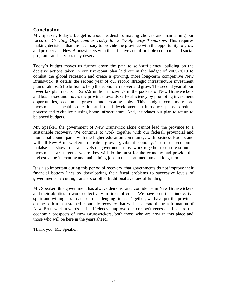# **Conclusion**

Mr. Speaker, today's budget is about leadership, making choices and maintaining our focus on *Creating Opportunities Today for Self-Sufficiency Tomorrow*. This requires making decisions that are necessary to provide the province with the opportunity to grow and prosper and New Brunswickers with the effective and affordable economic and social programs and services they deserve.

Today's budget moves us further down the path to self-sufficiency, building on the decisive actions taken in our five-point plan laid out in the budget of 2009-2010 to combat the global recession and create a growing, more long-term competitive New Brunswick. It details the second year of our record strategic infrastructure investment plan of almost \$1.6 billion to help the economy recover and grow. The second year of our lower tax plan results in \$257.9 million in savings in the pockets of New Brunswickers and businesses and moves the province towards self-sufficiency by promoting investment opportunities, economic growth and creating jobs. This budget contains record investments in health, education and social development. It introduces plans to reduce poverty and revitalize nursing home infrastructure. And, it updates our plan to return to balanced budgets.

Mr. Speaker, the government of New Brunswick alone cannot lead the province to a sustainable recovery. We continue to work together with our federal, provincial and municipal counterparts, with the higher education community, with business leaders and with all New Brunswickers to create a growing, vibrant economy. The recent economic malaise has shown that all levels of government must work together to ensure stimulus investments are targeted where they will do the most for the economy and provide the highest value in creating and maintaining jobs in the short, medium and long-term.

It is also important during this period of recovery, that governments do not improve their financial bottom lines by downloading their fiscal problems to successive levels of governments by cutting transfers or other traditional avenues of funding.

Mr. Speaker, this government has always demonstrated confidence in New Brunswickers and their abilities to work collectively in times of crisis. We have seen their innovative spirit and willingness to adapt to challenging times. Together, we have put the province on the path to a sustained economic recovery that will accelerate the transformation of New Brunswick towards self-sufficiency, improve our competitiveness and secure the economic prospects of New Brunswickers, both those who are now in this place and those who will be here in the years ahead.

Thank you, Mr. Speaker.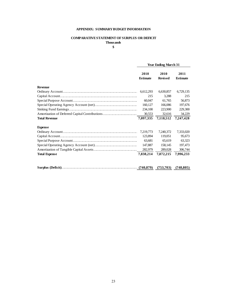### **APPENDIX: SUMMARY BUDGET INFORMATION**

#### **COMPARATIVE STATEMENT OF SURPLUS OR DEFICIT Thousands**

#### **\$**

|                      | <b>Year Ending March 31</b> |                        |                         |  |
|----------------------|-----------------------------|------------------------|-------------------------|--|
|                      | 2010<br><b>Estimate</b>     | 2010<br><b>Revised</b> | 2011<br><b>Estimate</b> |  |
| <b>Revenue</b>       |                             |                        |                         |  |
|                      | 6,612,293                   | 6,630,857              | 6,729,135               |  |
|                      | 215                         | 3.288                  | 215                     |  |
|                      | 60.047                      | 61.765                 | 56,873                  |  |
|                      | 160,127                     | 166,086                | 197,676                 |  |
|                      | 234,100                     | 223,900                | 229,300                 |  |
|                      | 30,553                      | 32,616                 | 34,229                  |  |
| <b>Total Revenue</b> | 7,097,335                   | 7,118,512              | 7,247,428               |  |
|                      |                             |                        |                         |  |
| <b>Expense</b>       |                             |                        |                         |  |
|                      | 7,219,773                   | 7,240,372              | 7,333,020               |  |
|                      | 123,894                     | 119,051                | 95,673                  |  |
|                      | 63,681                      | 65,619                 | 63,323                  |  |
|                      | 147,887                     | 158,145                | 197,473                 |  |
|                      | 282,979                     | 289,028                | 306,744                 |  |
| <b>Total Expense</b> | 7,838,214                   | 7,872,215              | 7,996,233               |  |
|                      |                             |                        |                         |  |
|                      |                             | (753,703)              | (748, 805)              |  |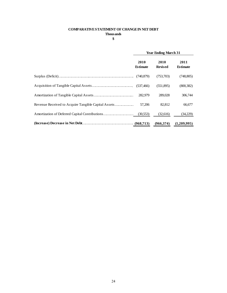## **COMPARATIVE STATEMENT OF CHANGE IN NET DEBT Thousands**

**\$**

| <b>Year Ending March 31</b> |                        |                         |  |
|-----------------------------|------------------------|-------------------------|--|
| 2010<br><b>Estimate</b>     | 2010<br><b>Revised</b> | 2011<br><b>Estimate</b> |  |
| (740, 879)                  | (753,703)              | (748, 805)              |  |
|                             | (551,895)              | (800, 382)              |  |
| 282,979                     | 289,028                | 306,744                 |  |
| 57,206                      | 82,812                 | 66,677                  |  |
| (30,553)                    | (32,616)               | (34,229)                |  |
|                             | (966, 374)             | (1,209,995)             |  |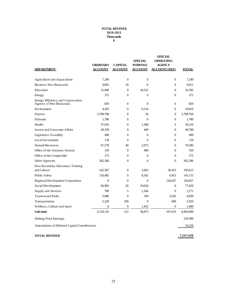#### **TOTAL REVENUE 2010-2011 Thousands \$**

| <b>DEPARTMENT</b>                                             | <b>ORDINARY</b><br><b>ACCOUNT</b> | <b>CAPITAL</b><br><b>ACCOUNT</b> | <b>SPECIAL</b><br><b>PURPOSE</b><br><u>ACCOUNT</u> | SPECIAL<br><b>OPERATING</b><br><b>AGENCY</b><br><b>ACCOUNT (NET)</b> | <b>TOTAL</b> |
|---------------------------------------------------------------|-----------------------------------|----------------------------------|----------------------------------------------------|----------------------------------------------------------------------|--------------|
| Agriculture and Aquaculture                                   | 7.249                             | $\theta$                         | $\Omega$                                           | $\Omega$                                                             | 7.249        |
| Business New Brunswick                                        | 9,891                             | 20                               | $\overline{0}$                                     | $\overline{0}$                                                       | 9.911        |
| Education                                                     | 31,840                            | $\Omega$                         | 20,552                                             | $\Omega$                                                             | 52,392       |
| Energy                                                        | 372                               | $\overline{0}$                   | $\overline{0}$                                     | $\theta$                                                             | 372          |
| Energy Efficiency and Conservation<br>Agency of New Brunswick | 829                               | $\overline{0}$                   | $\overline{0}$                                     | $\overline{0}$                                                       | 829          |
| Environment                                                   | 4,303                             | $\overline{0}$                   | 6,516                                              | $\overline{0}$                                                       | 10,819       |
| Finance                                                       | 5,789,708                         | $\theta$                         | 56                                                 | $\boldsymbol{0}$                                                     | 5,789,764    |
| <b>Fisheries</b>                                              | 1,780                             | $\overline{0}$                   | $\Omega$                                           | $\theta$                                                             | 1,780        |
| Health                                                        | 37,916                            | $\overline{0}$                   | 1,300                                              | 0                                                                    | 39,216       |
| Justice and Consumer Affairs                                  | 49,339                            | $\overline{0}$                   | 449                                                | $\mathbf{0}$                                                         | 49,788       |
| Legislative Assembly                                          | 490                               | $\Omega$                         | $\theta$                                           | $\mathbf{0}$                                                         | 490          |
| Local Government                                              | 134                               | $\theta$                         | $\theta$                                           | $\mathbf{0}$                                                         | 134          |
| <b>Natural Resources</b>                                      | 67,578                            | 40                               | 2,972                                              | 0                                                                    | 70,590       |
| Office of the Attorney General                                | 150                               | $\mathbf{0}$                     | 400                                                | $\overline{0}$                                                       | 550          |
| Office of the Comptroller                                     | 175                               | $\overline{0}$                   | $\theta$                                           | $\overline{0}$                                                       | 175          |
| Other Agencies                                                | 362,306                           | $\theta$                         | $\Omega$                                           | $\Omega$                                                             | 362,306      |
| Post-Secondary Education, Training<br>and Labour              | 162,587                           | $\overline{0}$                   | 2,603                                              | 30,423                                                               | 195,613      |
| Public Safety                                                 | 126,482                           | $\overline{0}$                   | 8,182                                              | 6,451                                                                | 141,115      |
| Regional Development Corporation                              | $\overline{0}$                    | $\theta$                         | $\overline{0}$                                     | 156,657                                                              | 156,657      |
| Social Development                                            | 66,983                            | 50                               | 10,626                                             | $\Omega$                                                             | 77,659       |
| Supply and Services                                           | 700                               | 5                                | 1,566                                              | $\Omega$                                                             | 2,271        |
| <b>Tourismand Parks</b>                                       | 3,086                             | $\overline{0}$                   | 199                                                | 3.545                                                                | 6,830        |
| Transportation                                                | 5,229                             | 100                              | $\boldsymbol{0}$                                   | 600                                                                  | 5,929        |
| Wellness, Culture and Sport                                   | 8                                 | $\boldsymbol{0}$                 | 1,452                                              | $\mathbf{0}$                                                         | 1,460        |
| Sub-total                                                     | 6,729,135                         | 215                              | 56,873                                             | 197,676                                                              | 6,983,899    |
| Sinking Fund Earnings                                         |                                   |                                  |                                                    |                                                                      | 229,300      |
| Amortization of Deferred Capital Contributions                |                                   |                                  |                                                    |                                                                      | 34,229       |
|                                                               |                                   |                                  |                                                    |                                                                      |              |
| <b>TOTAL REVENUE</b>                                          |                                   |                                  |                                                    |                                                                      | 7.247.428    |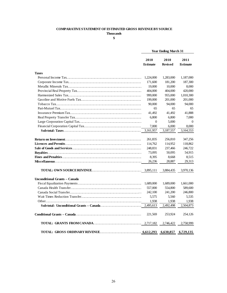#### **COMPARATIVE STATEMENT OF ESTIMATED GROSS REVENUE BY SOURCE**

**Thousands**

**\$**

|                               |                         | <b>Year Ending March 31</b> |                         |
|-------------------------------|-------------------------|-----------------------------|-------------------------|
|                               | 2010<br><b>Estimate</b> | 2010<br><b>Revised</b>      | 2011<br><b>Estimate</b> |
| <b>Taxes</b>                  |                         |                             |                         |
|                               | 1,224,000               | 1,283,000                   | 1,187,000               |
|                               | 171,600                 | 181,200                     | 187,300                 |
|                               | 19,000                  | 10,000                      | 8,000                   |
|                               | 404,000                 | 404,000                     | 420,000                 |
|                               | 999,000                 | 955,000                     | 1,010,300               |
|                               | 199,000                 | 201,000                     | 201,000                 |
|                               | 90,000                  | 94,000                      | 94,000                  |
|                               | 65                      | 65                          | 65                      |
|                               |                         |                             |                         |
|                               | 41,492<br>6,800         | 41,492<br>6,800             | 41,888<br>7,000         |
|                               | $\Omega$                | 5.000                       | $\Omega$                |
|                               |                         |                             |                         |
|                               | 7,000                   | 6,000                       | 8,000                   |
|                               | 3,161,957               | 3,187,557                   | 3,164,553               |
|                               | 261,835                 | 256,810                     | 347,256                 |
|                               | 114,762                 | 114,952                     | 118,862                 |
|                               | 248,831                 | 237,466                     | 246,722                 |
|                               | 73,095                  | 50,095                      | 54,915                  |
|                               | 8.395                   | 8,668                       | 8.515                   |
|                               | 26,236                  | 28,887                      | 29,313                  |
|                               |                         | 3,884,435                   | 3,970,136               |
| Unconditional Grants - Canada |                         |                             |                         |
|                               | 1,689,000               | 1,689,000                   | 1,661,000               |
|                               | 557,000                 | 554,800                     | 589,600                 |
|                               | 242,100                 | 241,200                     | 246,800                 |
|                               | 5,575                   | 5,560                       | 5,535                   |
|                               | 1,938                   | 1,938                       | 1,938                   |
|                               | 2,495,613               | 2,492,498                   | 2,504,873               |
|                               | 221,569                 | 253,924                     | 254,126                 |
|                               |                         | 2,746,422                   | 2,758,999               |
|                               |                         | 6,630,857                   | 6,729,135               |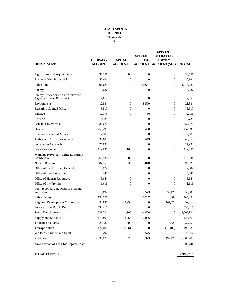#### **TOTAL EXPENSE 2010-2011 Thousands \$**

| <b>DEPARTMENT</b>                                             | ORDINARY<br><b>ACCOUNT</b> | <b>CAPITAL</b><br><b>ACCOUNT</b> | <b>SPECIAL</b><br><b>PURPOSE</b><br><b>ACCOUNT</b> | <b>SPECIAL</b><br><b>OPERATING</b><br><b>AGENCY</b><br><b>ACCOUNT (NET)</b> | <b>TOTAL</b> |
|---------------------------------------------------------------|----------------------------|----------------------------------|----------------------------------------------------|-----------------------------------------------------------------------------|--------------|
| Agriculture and Aquaculture                                   | 36,151                     | 400                              | $\mathbf{0}$                                       | $\mathbf{0}$                                                                | 36,551       |
| Business New Brunswick                                        | 42,694                     | $\overline{0}$                   | $\Omega$                                           | $\theta$                                                                    | 42,694       |
| Education                                                     | 994,625                    | $\overline{0}$                   | 20,657                                             | $\theta$                                                                    | 1,015,282    |
| Energy                                                        | 3,087                      | 0                                | $\mathbf{0}$                                       | $\mathbf{0}$                                                                | 3,087        |
| Energy Efficiency and Conservation<br>Agency of New Brunswick | 17,655                     | $\overline{0}$                   | $\mathbf{0}$                                       | $\overline{0}$                                                              | 17,655       |
| Environment                                                   | 12,884                     | 0                                | 8,500                                              | $\mathbf{0}$                                                                | 21,384       |
| Executive Council Office                                      | 5,517                      | 0                                | $\mathbf{0}$                                       | $\theta$                                                                    | 5,517        |
| Finance                                                       | 12,375                     | 0                                | 56                                                 | $\theta$                                                                    | 12,431       |
| Fisheries                                                     | 4,728                      | 0                                | $\mathbf{0}$                                       | $\mathbf{0}$                                                                | 4,728        |
| General Government                                            | 680,072                    | 0                                | $\mathbf{0}$                                       | $\theta$                                                                    | 680,072      |
| Health                                                        | 2,456,493                  | 0                                | 1,400                                              | $\Omega$                                                                    | 2,457,893    |
| Intergovernmental Affairs                                     | 2,586                      | 0                                | $\Omega$                                           | $\mathbf{0}$                                                                | 2,586        |
| Justice and Consumer Affairs                                  | 39,606                     | $\overline{0}$                   | 449                                                | $\theta$                                                                    | 40,055       |
| Legislative Assembly                                          | 27,998                     | 0                                | 0                                                  | $\theta$                                                                    | 27,998       |
| Local Government                                              | 119,697                    | 160                              | $\mathbf{0}$                                       | $\mathbf{0}$                                                                | 119,857      |
| Maritime Provinces Higher Education<br>Commission             | 260,531                    | 15,000                           | $\mathbf{0}$                                       | $\overline{0}$                                                              | 275.531      |
| <b>Natural Resources</b>                                      | 87,150                     | 638                              | 3,040                                              | $\theta$                                                                    | 90,828       |
| Office of the Attorney General                                | 16,824                     | $\theta$                         | 180                                                | $\theta$                                                                    | 17,004       |
| Office of the Comptroller                                     | 4,346                      | 0                                | $\Omega$                                           | $\Omega$                                                                    | 4,346        |
| Office of Human Resources                                     | 5,644                      | $\overline{0}$                   | $\Omega$                                           | $\Omega$                                                                    | 5,644        |
| Office of the Premier                                         | 1,616                      | 0                                | $\overline{0}$                                     | $\overline{0}$                                                              | 1,616        |
| Post-Secondary Education, Training<br>and Labour              | 318,692                    | $\overline{0}$                   | 2,573                                              | 32,123                                                                      | 353,388      |
| Public Safety                                                 | 130,551                    | $\overline{0}$                   | 8,207                                              | 6,600                                                                       | 145,358      |
| Regional Development Corporation                              | 94,836                     | 29,950                           | $\mathbf{0}$                                       | 167,628                                                                     | 292,414      |
| Service of the Public Debt                                    | 634,415                    | $\overline{0}$                   | $\Omega$                                           | $\mathbf{0}$                                                                | 634,415      |
| Social Development                                            | 986,734                    | 1.100                            | 14,500                                             | $\mathbf{0}$                                                                | 1,002,334    |
| Supply and Services                                           | 116,809                    | 8,964                            | 2,096                                              | $\boldsymbol{0}$                                                            | 127,869      |
| Tourism and Parks                                             | 28,132                     | 500                              | 90                                                 | 3,528                                                                       | 32,250       |
| Transportation                                                | 172,080                    | 38,961                           | $\boldsymbol{0}$                                   | (12, 406)                                                                   | 198,635      |
| Wellness, Culture and Sport                                   | 18,492                     | $\boldsymbol{0}$                 | 1,575                                              | $\mathbf{0}$                                                                | 20,067       |
| Sub-total                                                     | 7,333,020                  | 95,673                           | 63,323                                             | 197,473                                                                     | 7,689,489    |
| Amortization of Tangible Capital Assets                       |                            |                                  |                                                    |                                                                             | 306,744      |

**TOTAL EXPENSE 7,996,233**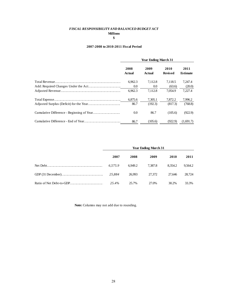# *FISCAL RESPONSIBILITY AND BALANCED BUDGET ACT* **Millions**

## **\$**

#### **2007-2008 to 2010-2011 Fiscal Period**

| <b>Year Ending March 31</b> |                |                        |                         |  |
|-----------------------------|----------------|------------------------|-------------------------|--|
| 2008<br><b>Actual</b>       | 2009<br>Actual | 2010<br><b>Revised</b> | 2011<br><b>Estimate</b> |  |
| 6.962.3                     | 7,112.8        | 7.118.5                | 7,247.4                 |  |
| 0.0                         | 0.0            | (63.6)                 | (20.0)                  |  |
| 6,962.3                     | 7,112.8        | 7.054.9                | 7,227.4                 |  |
| 6,875.6                     | 7,305.1        | 7,872.2                | 7,996.2                 |  |
| 86.7                        | (192.3)        | (817.3)                | (768.8)                 |  |
| 0.0                         | 86.7           | (105.6)                | (922.9)                 |  |
| 86.7                        | (105.6)        | (922.9)                | (1,691.7)               |  |

| <b>Year Ending March 31</b> |         |         |         |         |  |
|-----------------------------|---------|---------|---------|---------|--|
| 2007                        | 2008    | 2009    | 2010    | 2011    |  |
| 6.575.9                     | 6.949.2 | 7.387.8 | 8.354.2 | 9.564.2 |  |
| 25.884                      | 26.993  | 27,372  | 27.646  | 28.724  |  |
| 25.4%                       | 25.7%   | 27.0%   | 30.2%   | 33.3%   |  |

**Note:** Columns may not add due to rounding.